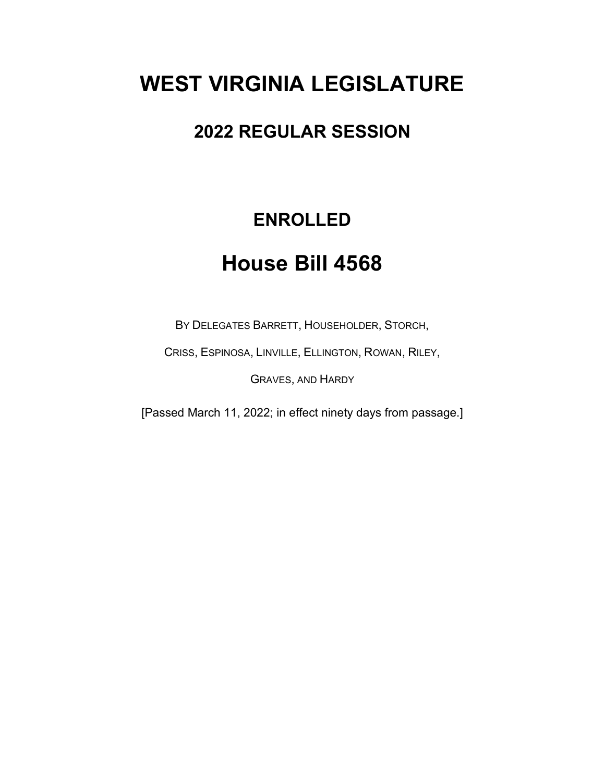# **WEST VIRGINIA LEGISLATURE**

## **2022 REGULAR SESSION**

## **ENROLLED**

## **House Bill 4568**

BY DELEGATES BARRETT, HOUSEHOLDER, STORCH,

CRISS, ESPINOSA, LINVILLE, ELLINGTON, ROWAN, RILEY,

GRAVES, AND HARDY

[Passed March 11, 2022; in effect ninety days from passage.]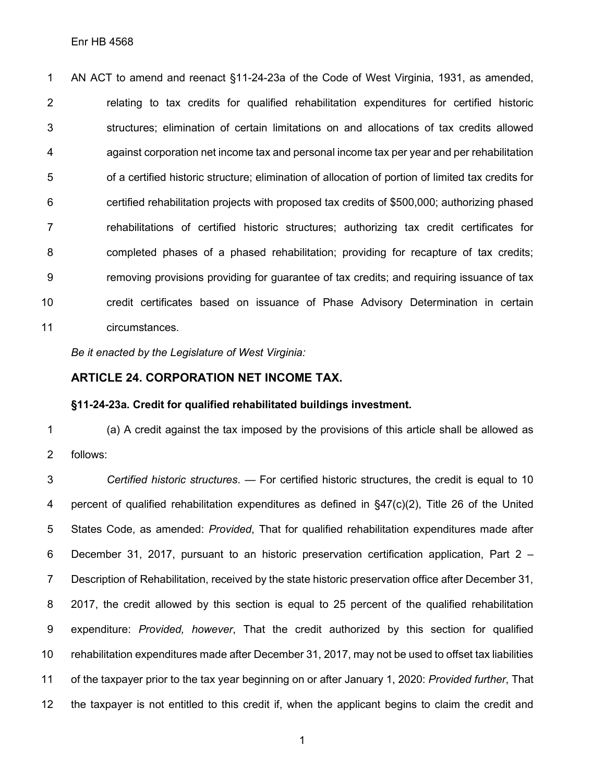AN ACT to amend and reenact §11-24-23a of the Code of West Virginia, 1931, as amended, relating to tax credits for qualified rehabilitation expenditures for certified historic structures; elimination of certain limitations on and allocations of tax credits allowed against corporation net income tax and personal income tax per year and per rehabilitation of a certified historic structure; elimination of allocation of portion of limited tax credits for certified rehabilitation projects with proposed tax credits of \$500,000; authorizing phased rehabilitations of certified historic structures; authorizing tax credit certificates for completed phases of a phased rehabilitation; providing for recapture of tax credits; removing provisions providing for guarantee of tax credits; and requiring issuance of tax credit certificates based on issuance of Phase Advisory Determination in certain circumstances.

*Be it enacted by the Legislature of West Virginia:*

### **ARTICLE 24. CORPORATION NET INCOME TAX.**

#### **§11-24-23a. Credit for qualified rehabilitated buildings investment.**

 (a) A credit against the tax imposed by the provisions of this article shall be allowed as follows:

 *Certified historic structures*. — For certified historic structures, the credit is equal to 10 percent of qualified rehabilitation expenditures as defined in §47(c)(2), Title 26 of the United States Code, as amended: *Provided*, That for qualified rehabilitation expenditures made after December 31, 2017, pursuant to an historic preservation certification application, Part 2 – Description of Rehabilitation, received by the state historic preservation office after December 31, 2017, the credit allowed by this section is equal to 25 percent of the qualified rehabilitation expenditure: *Provided, however*, That the credit authorized by this section for qualified rehabilitation expenditures made after December 31, 2017, may not be used to offset tax liabilities of the taxpayer prior to the tax year beginning on or after January 1, 2020: *Provided further*, That the taxpayer is not entitled to this credit if, when the applicant begins to claim the credit and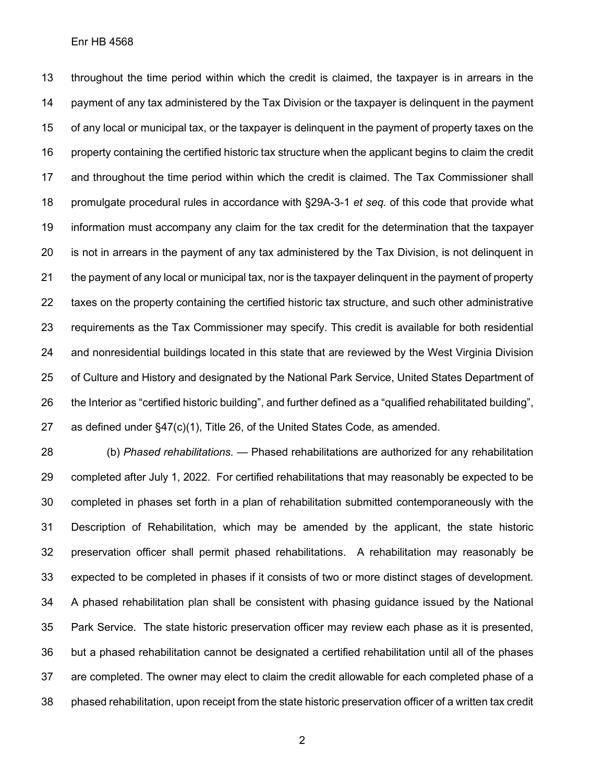#### Enr HB 4568

 throughout the time period within which the credit is claimed, the taxpayer is in arrears in the payment of any tax administered by the Tax Division or the taxpayer is delinquent in the payment of any local or municipal tax, or the taxpayer is delinquent in the payment of property taxes on the property containing the certified historic tax structure when the applicant begins to claim the credit and throughout the time period within which the credit is claimed. The Tax Commissioner shall promulgate procedural rules in accordance with §29A-3-1 *et seq.* of this code that provide what information must accompany any claim for the tax credit for the determination that the taxpayer is not in arrears in the payment of any tax administered by the Tax Division, is not delinquent in the payment of any local or municipal tax, nor is the taxpayer delinquent in the payment of property taxes on the property containing the certified historic tax structure, and such other administrative requirements as the Tax Commissioner may specify. This credit is available for both residential and nonresidential buildings located in this state that are reviewed by the West Virginia Division of Culture and History and designated by the National Park Service, United States Department of the Interior as "certified historic building", and further defined as a "qualified rehabilitated building", as defined under §47(c)(1), Title 26, of the United States Code, as amended.

 (b) *Phased rehabilitations.* — Phased rehabilitations are authorized for any rehabilitation completed after July 1, 2022. For certified rehabilitations that may reasonably be expected to be completed in phases set forth in a plan of rehabilitation submitted contemporaneously with the Description of Rehabilitation, which may be amended by the applicant, the state historic preservation officer shall permit phased rehabilitations. A rehabilitation may reasonably be expected to be completed in phases if it consists of two or more distinct stages of development. A phased rehabilitation plan shall be consistent with phasing guidance issued by the National Park Service. The state historic preservation officer may review each phase as it is presented, but a phased rehabilitation cannot be designated a certified rehabilitation until all of the phases are completed. The owner may elect to claim the credit allowable for each completed phase of a phased rehabilitation, upon receipt from the state historic preservation officer of a written tax credit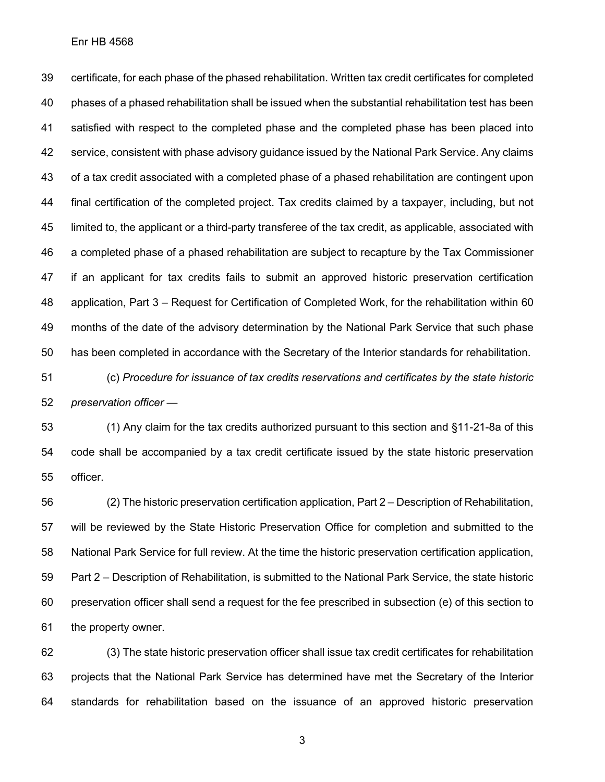Enr HB 4568

 certificate, for each phase of the phased rehabilitation. Written tax credit certificates for completed phases of a phased rehabilitation shall be issued when the substantial rehabilitation test has been satisfied with respect to the completed phase and the completed phase has been placed into service, consistent with phase advisory guidance issued by the National Park Service. Any claims of a tax credit associated with a completed phase of a phased rehabilitation are contingent upon final certification of the completed project. Tax credits claimed by a taxpayer, including, but not limited to, the applicant or a third-party transferee of the tax credit, as applicable, associated with a completed phase of a phased rehabilitation are subject to recapture by the Tax Commissioner if an applicant for tax credits fails to submit an approved historic preservation certification application, Part 3 – Request for Certification of Completed Work, for the rehabilitation within 60 months of the date of the advisory determination by the National Park Service that such phase has been completed in accordance with the Secretary of the Interior standards for rehabilitation.

 (c) *Procedure for issuance of tax credits reservations and certificates by the state historic preservation officer* —

 (1) Any claim for the tax credits authorized pursuant to this section and §11-21-8a of this code shall be accompanied by a tax credit certificate issued by the state historic preservation officer.

 (2) The historic preservation certification application, Part 2 – Description of Rehabilitation, will be reviewed by the State Historic Preservation Office for completion and submitted to the National Park Service for full review. At the time the historic preservation certification application, Part 2 – Description of Rehabilitation, is submitted to the National Park Service, the state historic preservation officer shall send a request for the fee prescribed in subsection (e) of this section to the property owner.

 (3) The state historic preservation officer shall issue tax credit certificates for rehabilitation projects that the National Park Service has determined have met the Secretary of the Interior standards for rehabilitation based on the issuance of an approved historic preservation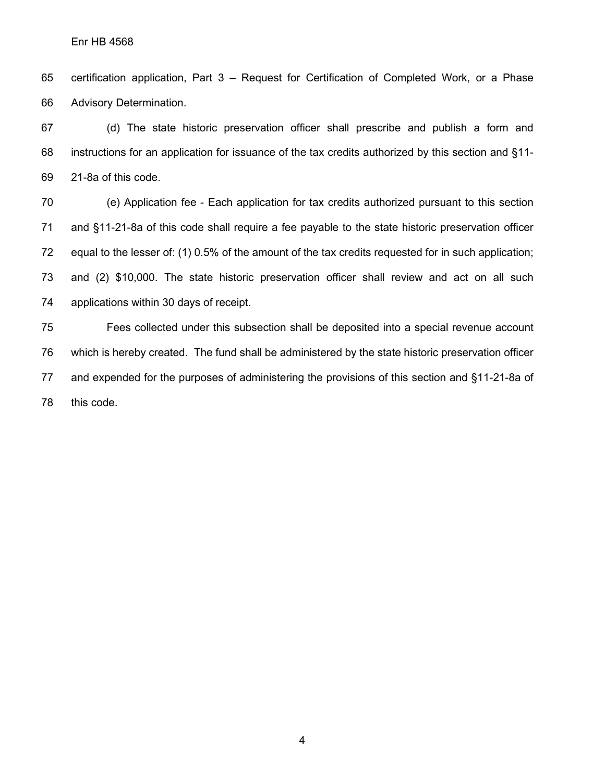certification application, Part 3 – Request for Certification of Completed Work, or a Phase Advisory Determination.

 (d) The state historic preservation officer shall prescribe and publish a form and instructions for an application for issuance of the tax credits authorized by this section and §11- 21-8a of this code.

 (e) Application fee - Each application for tax credits authorized pursuant to this section and §11-21-8a of this code shall require a fee payable to the state historic preservation officer equal to the lesser of: (1) 0.5% of the amount of the tax credits requested for in such application; and (2) \$10,000. The state historic preservation officer shall review and act on all such applications within 30 days of receipt.

 Fees collected under this subsection shall be deposited into a special revenue account which is hereby created. The fund shall be administered by the state historic preservation officer and expended for the purposes of administering the provisions of this section and §11-21-8a of this code.